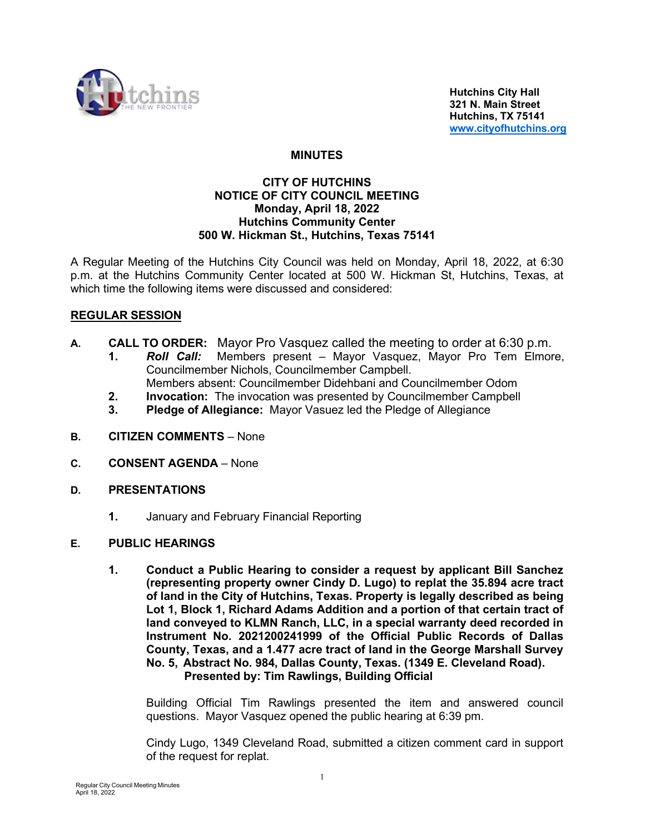

 **Hutchins City Hall 321 N. Main Street Hutchins, TX 75141 [www.cityofhutchins.org](http://www.cityofhutchins.org/)**

## **MINUTES**

#### **CITY OF HUTCHINS NOTICE OF CITY COUNCIL MEETING Monday, April 18, 2022 Hutchins Community Center 500 W. Hickman St., Hutchins, Texas 75141**

A Regular Meeting of the Hutchins City Council was held on Monday, April 18, 2022, at 6:30 p.m. at the Hutchins Community Center located at 500 W. Hickman St, Hutchins, Texas, at which time the following items were discussed and considered:

# **REGULAR SESSION**

- **A. CALL TO ORDER:** Mayor Pro Vasquez called the meeting to order at 6:30 p.m.
	- **1.** *Roll Call:* Members present Mayor Vasquez, Mayor Pro Tem Elmore, Councilmember Nichols, Councilmember Campbell.
		- Members absent: Councilmember Didehbani and Councilmember Odom
	- **2. Invocation:** The invocation was presented by Councilmember Campbell
	- **3. Pledge of Allegiance:** Mayor Vasuez led the Pledge of Allegiance
- **B. CITIZEN COMMENTS**  None
- **C. CONSENT AGENDA** None
- **D. PRESENTATIONS**
	- **1.** January and February Financial Reporting

#### **E. PUBLIC HEARINGS**

**1. Conduct a Public Hearing to consider a request by applicant Bill Sanchez (representing property owner Cindy D. Lugo) to replat the 35.894 acre tract of land in the City of Hutchins, Texas. Property is legally described as being Lot 1, Block 1, Richard Adams Addition and a portion of that certain tract of land conveyed to KLMN Ranch, LLC, in a special warranty deed recorded in Instrument No. 2021200241999 of the Official Public Records of Dallas County, Texas, and a 1.477 acre tract of land in the George Marshall Survey No. 5, Abstract No. 984, Dallas County, Texas. (1349 E. Cleveland Road). Presented by: Tim Rawlings, Building Official**

Building Official Tim Rawlings presented the item and answered council questions. Mayor Vasquez opened the public hearing at 6:39 pm.

Cindy Lugo, 1349 Cleveland Road, submitted a citizen comment card in support of the request for replat.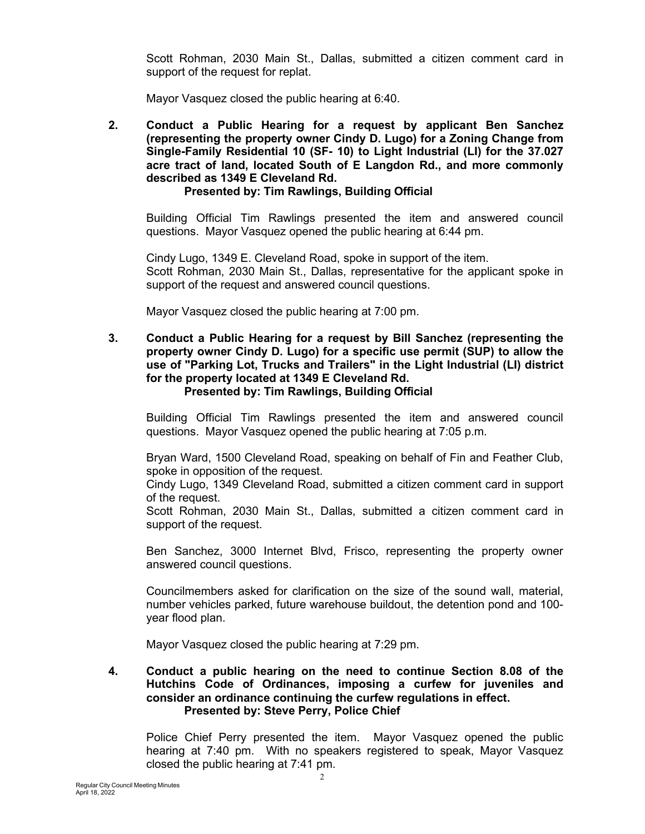Scott Rohman, 2030 Main St., Dallas, submitted a citizen comment card in support of the request for replat.

Mayor Vasquez closed the public hearing at 6:40.

**2. Conduct a Public Hearing for a request by applicant Ben Sanchez (representing the property owner Cindy D. Lugo) for a Zoning Change from Single-Family Residential 10 (SF- 10) to Light Industrial (LI) for the 37.027 acre tract of land, located South of E Langdon Rd., and more commonly described as 1349 E Cleveland Rd.**

## **Presented by: Tim Rawlings, Building Official**

Building Official Tim Rawlings presented the item and answered council questions. Mayor Vasquez opened the public hearing at 6:44 pm.

Cindy Lugo, 1349 E. Cleveland Road, spoke in support of the item. Scott Rohman, 2030 Main St., Dallas, representative for the applicant spoke in support of the request and answered council questions.

Mayor Vasquez closed the public hearing at 7:00 pm.

**3. Conduct a Public Hearing for a request by Bill Sanchez (representing the property owner Cindy D. Lugo) for a specific use permit (SUP) to allow the use of "Parking Lot, Trucks and Trailers" in the Light Industrial (LI) district for the property located at 1349 E Cleveland Rd. Presented by: Tim Rawlings, Building Official**

Building Official Tim Rawlings presented the item and answered council questions. Mayor Vasquez opened the public hearing at 7:05 p.m.

Bryan Ward, 1500 Cleveland Road, speaking on behalf of Fin and Feather Club, spoke in opposition of the request.

Cindy Lugo, 1349 Cleveland Road, submitted a citizen comment card in support of the request.

Scott Rohman, 2030 Main St., Dallas, submitted a citizen comment card in support of the request.

Ben Sanchez, 3000 Internet Blvd, Frisco, representing the property owner answered council questions.

Councilmembers asked for clarification on the size of the sound wall, material, number vehicles parked, future warehouse buildout, the detention pond and 100 year flood plan.

Mayor Vasquez closed the public hearing at 7:29 pm.

## **4. Conduct a public hearing on the need to continue Section 8.08 of the Hutchins Code of Ordinances, imposing a curfew for juveniles and consider an ordinance continuing the curfew regulations in effect. Presented by: Steve Perry, Police Chief**

Police Chief Perry presented the item. Mayor Vasquez opened the public hearing at 7:40 pm. With no speakers registered to speak, Mayor Vasquez closed the public hearing at 7:41 pm.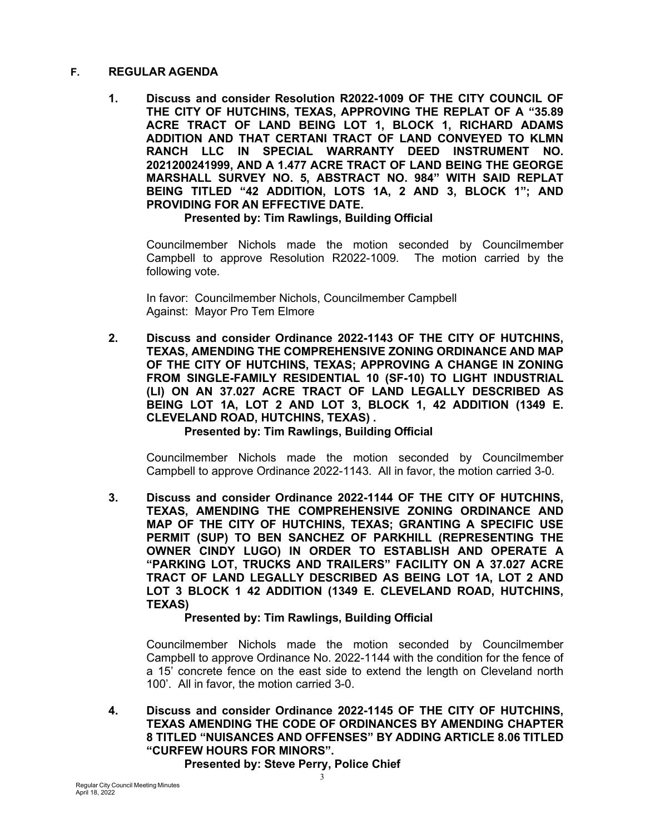## **F. REGULAR AGENDA**

**1. Discuss and consider Resolution R2022-1009 OF THE CITY COUNCIL OF THE CITY OF HUTCHINS, TEXAS, APPROVING THE REPLAT OF A "35.89 ACRE TRACT OF LAND BEING LOT 1, BLOCK 1, RICHARD ADAMS ADDITION AND THAT CERTANI TRACT OF LAND CONVEYED TO KLMN RANCH LLC IN SPECIAL WARRANTY DEED INSTRUMENT NO. 2021200241999, AND A 1.477 ACRE TRACT OF LAND BEING THE GEORGE MARSHALL SURVEY NO. 5, ABSTRACT NO. 984" WITH SAID REPLAT BEING TITLED "42 ADDITION, LOTS 1A, 2 AND 3, BLOCK 1"; AND PROVIDING FOR AN EFFECTIVE DATE.**

**Presented by: Tim Rawlings, Building Official**

Councilmember Nichols made the motion seconded by Councilmember Campbell to approve Resolution R2022-1009. The motion carried by the following vote.

In favor: Councilmember Nichols, Councilmember Campbell Against: Mayor Pro Tem Elmore

**2. Discuss and consider Ordinance 2022-1143 OF THE CITY OF HUTCHINS, TEXAS, AMENDING THE COMPREHENSIVE ZONING ORDINANCE AND MAP OF THE CITY OF HUTCHINS, TEXAS; APPROVING A CHANGE IN ZONING FROM SINGLE-FAMILY RESIDENTIAL 10 (SF-10) TO LIGHT INDUSTRIAL (LI) ON AN 37.027 ACRE TRACT OF LAND LEGALLY DESCRIBED AS BEING LOT 1A, LOT 2 AND LOT 3, BLOCK 1, 42 ADDITION (1349 E. CLEVELAND ROAD, HUTCHINS, TEXAS) .**

# **Presented by: Tim Rawlings, Building Official**

Councilmember Nichols made the motion seconded by Councilmember Campbell to approve Ordinance 2022-1143. All in favor, the motion carried 3-0.

**3. Discuss and consider Ordinance 2022-1144 OF THE CITY OF HUTCHINS, TEXAS, AMENDING THE COMPREHENSIVE ZONING ORDINANCE AND MAP OF THE CITY OF HUTCHINS, TEXAS; GRANTING A SPECIFIC USE PERMIT (SUP) TO BEN SANCHEZ OF PARKHILL (REPRESENTING THE OWNER CINDY LUGO) IN ORDER TO ESTABLISH AND OPERATE A "PARKING LOT, TRUCKS AND TRAILERS" FACILITY ON A 37.027 ACRE TRACT OF LAND LEGALLY DESCRIBED AS BEING LOT 1A, LOT 2 AND LOT 3 BLOCK 1 42 ADDITION (1349 E. CLEVELAND ROAD, HUTCHINS, TEXAS)**

# **Presented by: Tim Rawlings, Building Official**

Councilmember Nichols made the motion seconded by Councilmember Campbell to approve Ordinance No. 2022-1144 with the condition for the fence of a 15' concrete fence on the east side to extend the length on Cleveland north 100'. All in favor, the motion carried 3-0.

**4. Discuss and consider Ordinance 2022-1145 OF THE CITY OF HUTCHINS, TEXAS AMENDING THE CODE OF ORDINANCES BY AMENDING CHAPTER 8 TITLED "NUISANCES AND OFFENSES" BY ADDING ARTICLE 8.06 TITLED "CURFEW HOURS FOR MINORS".**

**Presented by: Steve Perry, Police Chief**